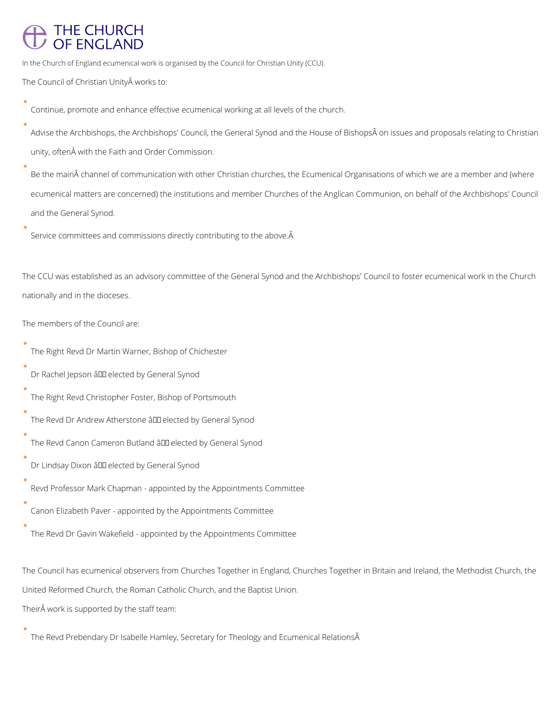# **THE CHURCH** OF ENGLAND

In the Church of England ecumenical work is organised by the Council for Christian Unity (CCU).

The Council of Christian Unity works to:

- Continue, promote and enhance effective ecumenical working at all levels of the church.
- Advise the Archbishops, the Archbishops' Council, the General Synod and the House of Bishops on issues and proposals relating to Christian unity, often with the Faith and Order Commission.
- Be the main channel of communication with other Christian churches, the Ecumenical Organisations of which we are a member and (where ecumenical matters are concerned) the institutions and member Churches of the Anglican Communion, on behalf of the Archbishops' Council and the General Synod.
- Service committees and commissions directly contributing to the above.

The CCU was established as an advisory committee of the General Synod and the Archbishops' Council to foster ecumenical work in the Church nationally and in the dioceses.

### The members of the Council are:

- The Right Revd Dr Martin Warner, Bishop of Chichester
- Dr Rachel Jepson â III elected by General Synod
- The Right Revd Christopher Foster, Bishop of Portsmouth
- The Revd Dr Andrew Atherstone  $\frac{2}{10}$  elected by General Synod
- The Revd Canon Cameron Butland â LD elected by General Synod
- Dr Lindsay Dixon â III elected by General Synod
- Revd Professor Mark Chapman appointed by the Appointments Committee
- Canon Elizabeth Paver appointed by the Appointments Committee
- The Revd Dr Gavin Wakefield appointed by the Appointments Committee

The Council has ecumenical observers from Churches Together in England, Churches Together in Britain and Ireland, the Methodist Church, the

United Reformed Church, the Roman Catholic Church, and the Baptist Union.

Their work is supported by the staff team:

The Revd Prebendary Dr Isabelle Hamley, Secretary for Theology and Ecumenical RelationsÂ